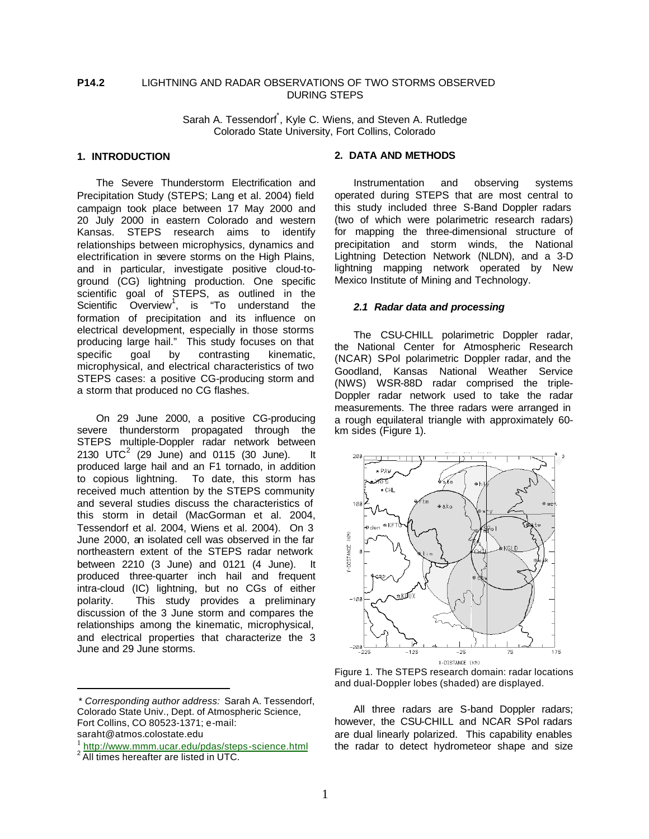## **P14.2** LIGHTNING AND RADAR OBSERVATIONS OF TWO STORMS OBSERVED DURING STEPS

Sarah A. Tessendorf<sup>\*</sup>, Kyle C. Wiens, and Steven A. Rutledge Colorado State University, Fort Collins, Colorado

# **1. INTRODUCTION**

The Severe Thunderstorm Electrification and Precipitation Study (STEPS; Lang et al. 2004) field campaign took place between 17 May 2000 and 20 July 2000 in eastern Colorado and western Kansas. STEPS research aims to identify relationships between microphysics, dynamics and electrification in severe storms on the High Plains, and in particular, investigate positive cloud-toground (CG) lightning production. One specific scientific goal of STEPS, as outlined in the Scientific Overview<sup>1</sup>, is "To understand the formation of precipitation and its influence on electrical development, especially in those storms producing large hail." This study focuses on that specific goal by contrasting kinematic, microphysical, and electrical characteristics of two STEPS cases: a positive CG-producing storm and a storm that produced no CG flashes.

On 29 June 2000, a positive CG-producing severe thunderstorm propagated through the STEPS multiple-Doppler radar network between 2130 UTC<sup>2</sup> (29 June) and 0115 (30 June). It produced large hail and an F1 tornado, in addition to copious lightning. To date, this storm has received much attention by the STEPS community and several studies discuss the characteristics of this storm in detail (MacGorman et al. 2004, Tessendorf et al. 2004, Wiens et al. 2004). On 3 June 2000, an isolated cell was observed in the far northeastern extent of the STEPS radar network between 2210 (3 June) and 0121 (4 June). It produced three-quarter inch hail and frequent intra-cloud (IC) lightning, but no CGs of either polarity. This study provides a preliminary discussion of the 3 June storm and compares the relationships among the kinematic, microphysical, and electrical properties that characterize the 3 June and 29 June storms.

 $\overline{a}$ 

### **2. DATA AND METHODS**

Instrumentation and observing systems operated during STEPS that are most central to this study included three S-Band Doppler radars (two of which were polarimetric research radars) for mapping the three-dimensional structure of precipitation and storm winds, the National Lightning Detection Network (NLDN), and a 3-D lightning mapping network operated by New Mexico Institute of Mining and Technology.

#### *2.1 Radar data and processing*

The CSU-CHILL polarimetric Doppler radar, the National Center for Atmospheric Research (NCAR) SPol polarimetric Doppler radar, and the Goodland, Kansas National Weather Service (NWS) WSR-88D radar comprised the triple-Doppler radar network used to take the radar measurements. The three radars were arranged in a rough equilateral triangle with approximately 60 km sides (Figure 1).



Figure 1. The STEPS research domain: radar locations and dual-Doppler lobes (shaded) are displayed.

All three radars are S-band Doppler radars; however, the CSU-CHILL and NCAR SPol radars are dual linearly polarized. This capability enables the radar to detect hydrometeor shape and size

<sup>\*</sup> *Corresponding author address:* Sarah A. Tessendorf, Colorado State Univ., Dept. of Atmospheric Science, Fort Collins, CO 80523-1371; e-mail: saraht@atmos.colostate.edu

<sup>&</sup>lt;sup>1</sup> http://www.mmm.ucar.edu/pdas/steps-science.html

<sup>&</sup>lt;sup>2</sup> All times hereafter are listed in UTC.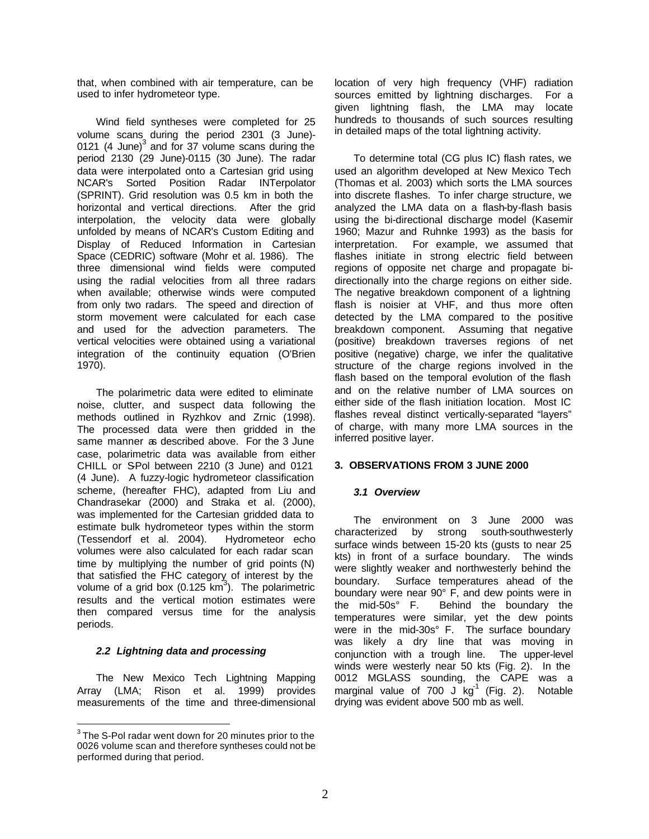that, when combined with air temperature, can be used to infer hydrometeor type.

Wind field syntheses were completed for 25 volume scans during the period 2301 (3 June)- 0121 (4 June) $3$  and for 37 volume scans during the period 2130 (29 June)-0115 (30 June). The radar data were interpolated onto a Cartesian grid using NCAR's Sorted Position Radar INTerpolator (SPRINT). Grid resolution was 0.5 km in both the horizontal and vertical directions. After the grid interpolation, the velocity data were globally unfolded by means of NCAR's Custom Editing and Display of Reduced Information in Cartesian Space (CEDRIC) software (Mohr et al. 1986). The three dimensional wind fields were computed using the radial velocities from all three radars when available; otherwise winds were computed from only two radars. The speed and direction of storm movement were calculated for each case and used for the advection parameters. The vertical velocities were obtained using a variational integration of the continuity equation (O'Brien 1970).

The polarimetric data were edited to eliminate noise, clutter, and suspect data following the methods outlined in Ryzhkov and Zrnic (1998). The processed data were then gridded in the same manner as described above. For the 3 June case, polarimetric data was available from either CHILL or SPol between 2210 (3 June) and 0121 (4 June). A fuzzy-logic hydrometeor classification scheme, (hereafter FHC), adapted from Liu and Chandrasekar (2000) and Straka et al. (2000), was implemented for the Cartesian gridded data to estimate bulk hydrometeor types within the storm (Tessendorf et al. 2004). Hydrometeor echo volumes were also calculated for each radar scan time by multiplying the number of grid points (N) that satisfied the FHC category of interest by the volume of a grid box (0.125  $km^3$ ). The polarimetric results and the vertical motion estimates were then compared versus time for the analysis periods.

## *2.2 Lightning data and processing*

 $\overline{a}$ 

The New Mexico Tech Lightning Mapping Array (LMA; Rison et al. 1999) provides measurements of the time and three-dimensional location of very high frequency (VHF) radiation sources emitted by lightning discharges. For a given lightning flash, the LMA may locate hundreds to thousands of such sources resulting in detailed maps of the total lightning activity.

To determine total (CG plus IC) flash rates, we used an algorithm developed at New Mexico Tech (Thomas et al. 2003) which sorts the LMA sources into discrete flashes. To infer charge structure, we analyzed the LMA data on a flash-by-flash basis using the bi-directional discharge model (Kasemir 1960; Mazur and Ruhnke 1993) as the basis for interpretation. For example, we assumed that flashes initiate in strong electric field between regions of opposite net charge and propagate bidirectionally into the charge regions on either side. The negative breakdown component of a lightning flash is noisier at VHF, and thus more often detected by the LMA compared to the positive breakdown component. Assuming that negative (positive) breakdown traverses regions of net positive (negative) charge, we infer the qualitative structure of the charge regions involved in the flash based on the temporal evolution of the flash and on the relative number of LMA sources on either side of the flash initiation location. Most IC flashes reveal distinct vertically-separated "layers" of charge, with many more LMA sources in the inferred positive layer.

## **3. OBSERVATIONS FROM 3 JUNE 2000**

# *3.1 Overview*

The environment on 3 June 2000 was characterized by strong south-southwesterly surface winds between 15-20 kts (gusts to near 25 kts) in front of a surface boundary. The winds were slightly weaker and northwesterly behind the boundary. Surface temperatures ahead of the boundary were near 90° F, and dew points were in the mid-50s° F. Behind the boundary the temperatures were similar, yet the dew points were in the mid-30s° F. The surface boundary was likely a dry line that was moving in conjunction with a trough line. The upper-level winds were westerly near 50 kts (Fig. 2). In the 0012 MGLASS sounding, the CAPE was a marginal value of 700 J kg $^{-1}$  (Fig. 2). Notable drying was evident above 500 mb as well.

 $3$  The S-Pol radar went down for 20 minutes prior to the 0026 volume scan and therefore syntheses could not be performed during that period.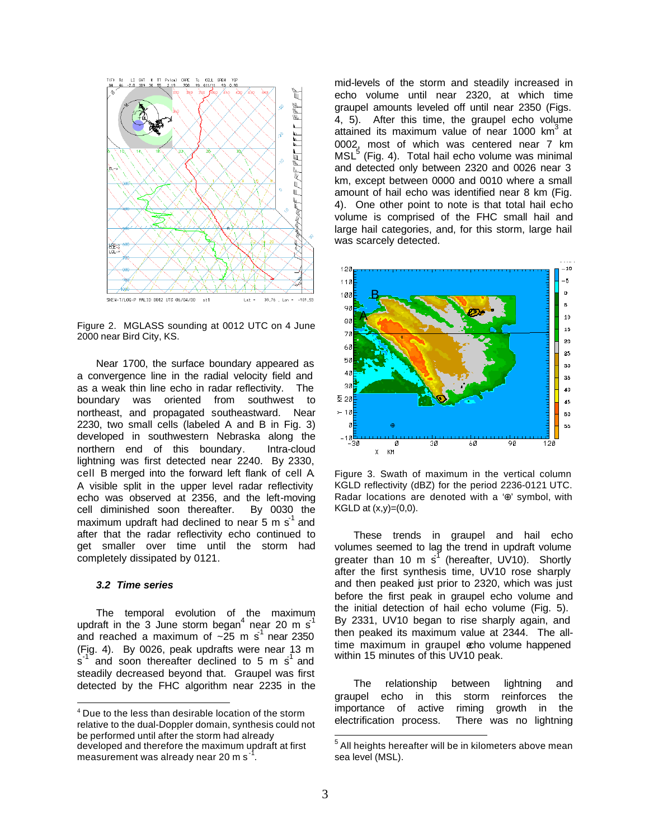

Figure 2. MGLASS sounding at 0012 UTC on 4 June 2000 near Bird City, KS.

Near 1700, the surface boundary appeared as a convergence line in the radial velocity field and as a weak thin line echo in radar reflectivity. The boundary was oriented from southwest to northeast, and propagated southeastward. Near 2230, two small cells (labeled A and B in Fig. 3) developed in southwestern Nebraska along the northern end of this boundary. Intra-cloud lightning was first detected near 2240. By 2330, cell B merged into the forward left flank of cell A. A visible split in the upper level radar reflectivity echo was observed at 2356, and the left-moving cell diminished soon thereafter. By 0030 the maximum updraft had declined to near 5 m  $s^1$  and after that the radar reflectivity echo continued to get smaller over time until the storm had completely dissipated by 0121.

### *3.2 Time series*

 $\overline{a}$ 

The temporal evolution of the maximum updraft in the 3 June storm began<sup>4</sup> near 20 m s<sup>1</sup> and reached a maximum of  $\sim 25$  m s<sup>1</sup> near 2350 (Fig. 4). By 0026, peak updrafts were near 13 m  $\sin^2$  and soon thereafter declined to 5 m s<sup>1</sup> and steadily decreased beyond that. Graupel was first detected by the FHC algorithm near 2235 in the mid-levels of the storm and steadily increased in echo volume until near 2320, at which time graupel amounts leveled off until near 2350 (Figs. 4, 5). After this time, the graupel echo volume attained its maximum value of near 1000 km<sup>3</sup> at 0002, most of which was centered near 7 km MSL<sup>5</sup> (Fig. 4). Total hail echo volume was minimal and detected only between 2320 and 0026 near 3 km, except between 0000 and 0010 where a small amount of hail echo was identified near 8 km (Fig. 4). One other point to note is that total hail echo volume is comprised of the FHC small hail and large hail categories, and, for this storm, large hail was scarcely detected.



Figure 3. Swath of maximum in the vertical column KGLD reflectivity (dBZ) for the period 2236-0121 UTC. Radar locations are denoted with a '⊕' symbol, with KGLD at  $(x,y)=(0,0)$ .

These trends in graupel and hail echo volumes seemed to lag the trend in updraft volume greater than 10 m  $s^{\uparrow}$  (hereafter, UV10). Shortly after the first synthesis time, UV10 rose sharply and then peaked just prior to 2320, which was just before the first peak in graupel echo volume and the initial detection of hail echo volume (Fig. 5). By 2331, UV10 began to rise sharply again, and then peaked its maximum value at 2344. The alltime maximum in graupel echo volume happened within 15 minutes of this UV10 peak.

The relationship between lightning and graupel echo in this storm reinforces the importance of active riming growth in the electrification process. There was no lightning

<sup>&</sup>lt;sup>4</sup> Due to the less than desirable location of the storm relative to the dual-Doppler domain, synthesis could not be performed until after the storm had already developed and therefore the maximum updraft at first measurement was already near 20 m s $^{-1}$ .

 5 All heights hereafter will be in kilometers above mean sea level (MSL).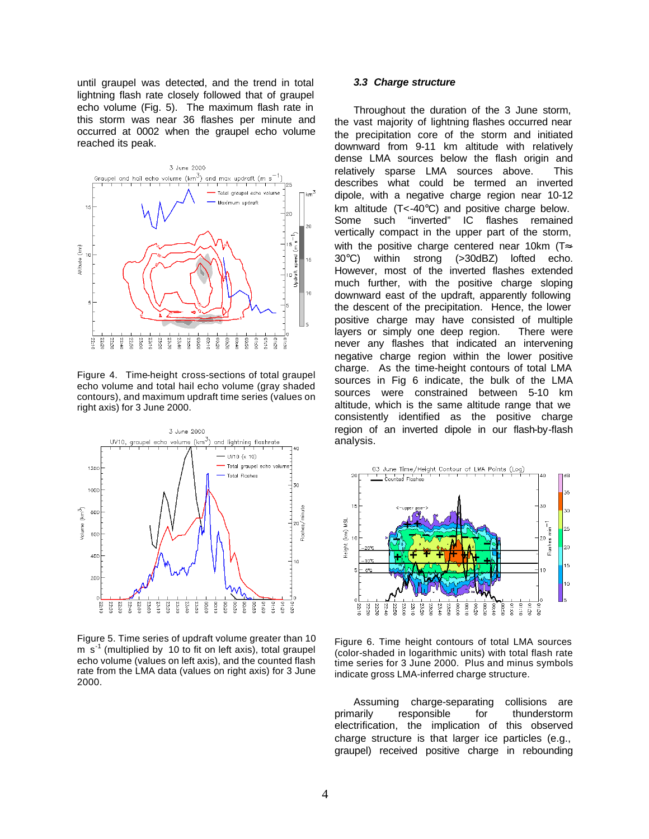until graupel was detected, and the trend in total lightning flash rate closely followed that of graupel echo volume (Fig. 5). The maximum flash rate in this storm was near 36 flashes per minute and occurred at 0002 when the graupel echo volume reached its peak.



Figure 4. Time-height cross-sections of total graupel echo volume and total hail echo volume (gray shaded contours), and maximum updraft time series (values on right axis) for 3 June 2000.



Figure 5. Time series of updraft volume greater than 10 m s<sup>-1</sup> (multiplied by 10 to fit on left axis), total graupel echo volume (values on left axis), and the counted flash rate from the LMA data (values on right axis) for 3 June 2000.

## *3.3 Charge structure*

Throughout the duration of the 3 June storm, the vast majority of lightning flashes occurred near the precipitation core of the storm and initiated downward from 9-11 km altitude with relatively dense LMA sources below the flash origin and relatively sparse LMA sources above. This describes what could be termed an inverted dipole, with a negative charge region near 10-12 km altitude (T<-40°C) and positive charge below. Some such "inverted" IC flashes remained vertically compact in the upper part of the storm, with the positive charge centered near 10km (T≈-30°C) within strong (>30dBZ) lofted echo. However, most of the inverted flashes extended much further, with the positive charge sloping downward east of the updraft, apparently following the descent of the precipitation. Hence, the lower positive charge may have consisted of multiple layers or simply one deep region. There were never any flashes that indicated an intervening negative charge region within the lower positive charge. As the time-height contours of total LMA sources in Fig 6 indicate, the bulk of the LMA sources were constrained between 5-10 km altitude, which is the same altitude range that we consistently identified as the positive charge region of an inverted dipole in our flash-by-flash analysis.



Figure 6. Time height contours of total LMA sources (color-shaded in logarithmic units) with total flash rate time series for 3 June 2000. Plus and minus symbols indicate gross LMA-inferred charge structure.

Assuming charge-separating collisions are primarily responsible for thunderstorm electrification, the implication of this observed charge structure is that larger ice particles (e.g., graupel) received positive charge in rebounding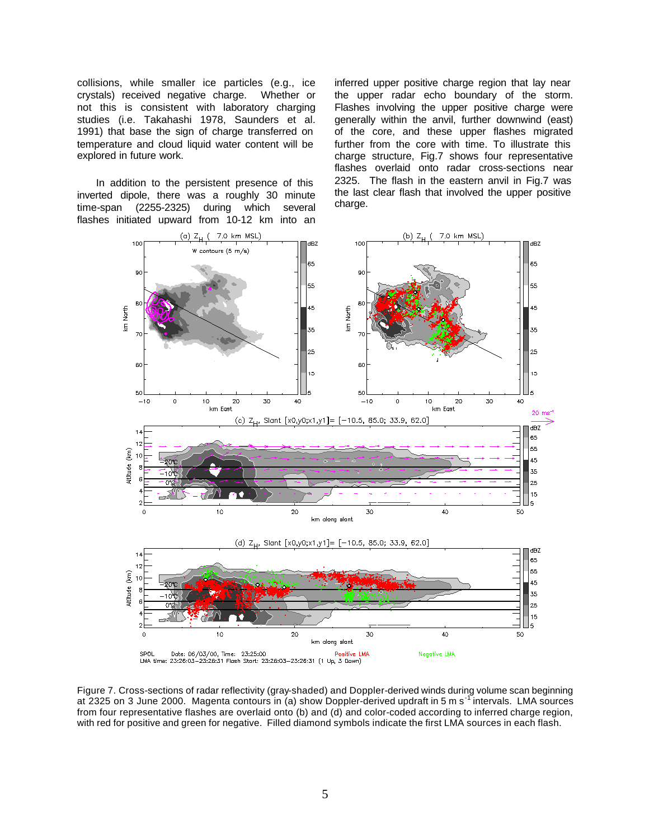collisions, while smaller ice particles (e.g., ice crystals) received negative charge. Whether or not this is consistent with laboratory charging studies (i.e. Takahashi 1978, Saunders et al. 1991) that base the sign of charge transferred on temperature and cloud liquid water content will be explored in future work.

In addition to the persistent presence of this inverted dipole, there was a roughly 30 minute time-span (2255-2325) during which several flashes initiated upward from 10-12 km into an inferred upper positive charge region that lay near the upper radar echo boundary of the storm. Flashes involving the upper positive charge were generally within the anvil, further downwind (east) of the core, and these upper flashes migrated further from the core with time. To illustrate this charge structure, Fig.7 shows four representative flashes overlaid onto radar cross-sections near 2325. The flash in the eastern anvil in Fig.7 was the last clear flash that involved the upper positive charge.



Figure 7. Cross-sections of radar reflectivity (gray-shaded) and Doppler-derived winds during volume scan beginning at 2325 on 3 June 2000. Magenta contours in (a) show Doppler-derived updraft in 5 m s<sup>-1</sup> intervals. LMA sources from four representative flashes are overlaid onto (b) and (d) and color-coded according to inferred charge region, with red for positive and green for negative. Filled diamond symbols indicate the first LMA sources in each flash.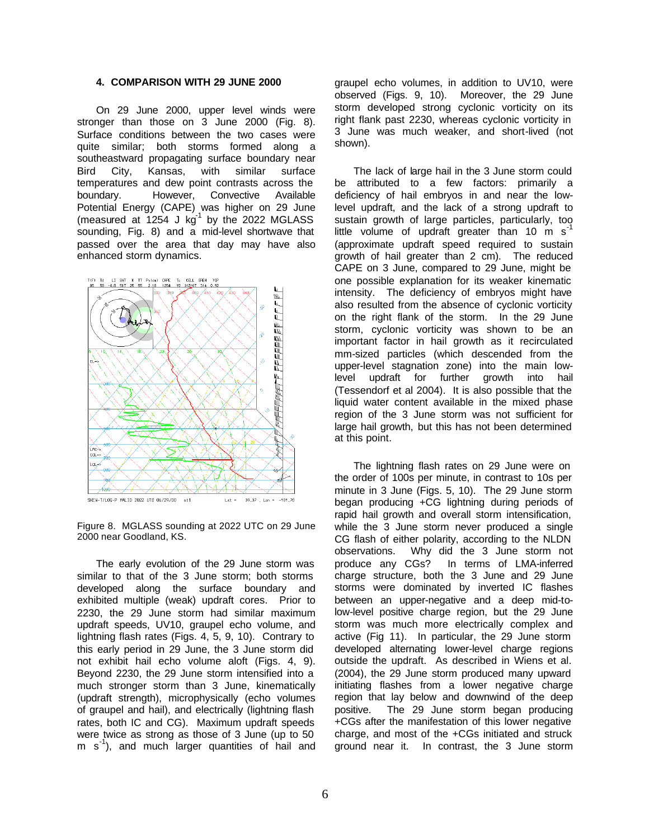### **4. COMPARISON WITH 29 JUNE 2000**

On 29 June 2000, upper level winds were stronger than those on 3 June 2000 (Fig. 8). Surface conditions between the two cases were quite similar; both storms formed along a southeastward propagating surface boundary near Bird City, Kansas, with similar surface temperatures and dew point contrasts across the boundary. However, Convective Available Potential Energy (CAPE) was higher on 29 June (measured at  $1254$  J  $\text{kg}^{-1}$  by the 2022 MGLASS sounding, Fig. 8) and a mid-level shortwave that passed over the area that day may have also enhanced storm dynamics.



Figure 8. MGLASS sounding at 2022 UTC on 29 June 2000 near Goodland, KS.

The early evolution of the 29 June storm was similar to that of the 3 June storm; both storms developed along the surface boundary and exhibited multiple (weak) updraft cores. Prior to 2230, the 29 June storm had similar maximum updraft speeds, UV10, graupel echo volume, and lightning flash rates (Figs. 4, 5, 9, 10). Contrary to this early period in 29 June, the 3 June storm did not exhibit hail echo volume aloft (Figs. 4, 9). Beyond 2230, the 29 June storm intensified into a much stronger storm than 3 June, kinematically (updraft strength), microphysically (echo volumes of graupel and hail), and electrically (lightning flash rates, both IC and CG). Maximum updraft speeds were twice as strong as those of 3 June (up to 50 m s<sup>-1</sup>), and much larger quantities of hail and

graupel echo volumes, in addition to UV10, were observed (Figs. 9, 10). Moreover, the 29 June storm developed strong cyclonic vorticity on its right flank past 2230, whereas cyclonic vorticity in 3 June was much weaker, and short-lived (not shown).

The lack of large hail in the 3 June storm could be attributed to a few factors: primarily a deficiency of hail embryos in and near the lowlevel updraft, and the lack of a strong updraft to sustain growth of large particles, particularly, too little volume of updraft greater than 10  $\text{m s}^{-1}$ (approximate updraft speed required to sustain growth of hail greater than 2 cm). The reduced CAPE on 3 June, compared to 29 June, might be one possible explanation for its weaker kinematic intensity. The deficiency of embryos might have also resulted from the absence of cyclonic vorticity on the right flank of the storm. In the 29 June storm, cyclonic vorticity was shown to be an important factor in hail growth as it recirculated mm-sized particles (which descended from the upper-level stagnation zone) into the main lowlevel updraft for further growth into hail (Tessendorf et al 2004). It is also possible that the liquid water content available in the mixed phase region of the 3 June storm was not sufficient for large hail growth, but this has not been determined at this point.

The lightning flash rates on 29 June were on the order of 100s per minute, in contrast to 10s per minute in 3 June (Figs. 5, 10). The 29 June storm began producing +CG lightning during periods of rapid hail growth and overall storm intensification, while the 3 June storm never produced a single CG flash of either polarity, according to the NLDN observations. Why did the 3 June storm not produce any CGs? In terms of LMA-inferred charge structure, both the 3 June and 29 June storms were dominated by inverted IC flashes between an upper-negative and a deep mid-tolow-level positive charge region, but the 29 June storm was much more electrically complex and active (Fig 11). In particular, the 29 June storm developed alternating lower-level charge regions outside the updraft. As described in Wiens et al. (2004), the 29 June storm produced many upward initiating flashes from a lower negative charge region that lay below and downwind of the deep positive. The 29 June storm began producing +CGs after the manifestation of this lower negative charge, and most of the +CGs initiated and struck ground near it. In contrast, the 3 June storm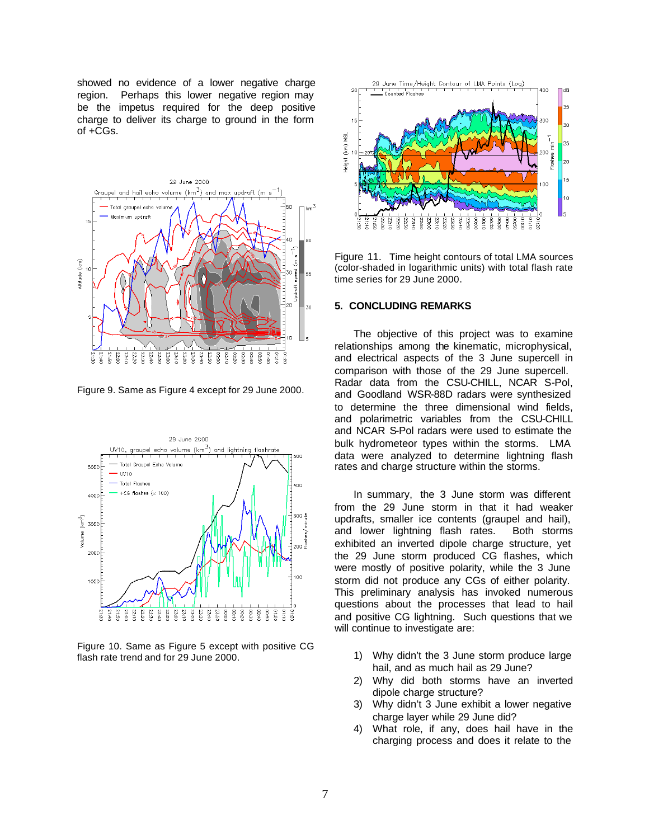showed no evidence of a lower negative charge region. Perhaps this lower negative region may be the impetus required for the deep positive charge to deliver its charge to ground in the form of +CGs.



Figure 9. Same as Figure 4 except for 29 June 2000.



Figure 10. Same as Figure 5 except with positive CG flash rate trend and for 29 June 2000.



Figure 11. Time height contours of total LMA sources (color-shaded in logarithmic units) with total flash rate time series for 29 June 2000.

### **5. CONCLUDING REMARKS**

The objective of this project was to examine relationships among the kinematic, microphysical, and electrical aspects of the 3 June supercell in comparison with those of the 29 June supercell. Radar data from the CSU-CHILL, NCAR S-Pol, and Goodland WSR-88D radars were synthesized to determine the three dimensional wind fields, and polarimetric variables from the CSU-CHILL and NCAR S-Pol radars were used to estimate the bulk hydrometeor types within the storms. LMA data were analyzed to determine lightning flash rates and charge structure within the storms.

In summary, the 3 June storm was different from the 29 June storm in that it had weaker updrafts, smaller ice contents (graupel and hail), and lower lightning flash rates. Both storms exhibited an inverted dipole charge structure, yet the 29 June storm produced CG flashes, which were mostly of positive polarity, while the 3 June storm did not produce any CGs of either polarity. This preliminary analysis has invoked numerous questions about the processes that lead to hail and positive CG lightning. Such questions that we will continue to investigate are:

- 1) Why didn't the 3 June storm produce large hail, and as much hail as 29 June?
- 2) Why did both storms have an inverted dipole charge structure?
- 3) Why didn't 3 June exhibit a lower negative charge layer while 29 June did?
- 4) What role, if any, does hail have in the charging process and does it relate to the